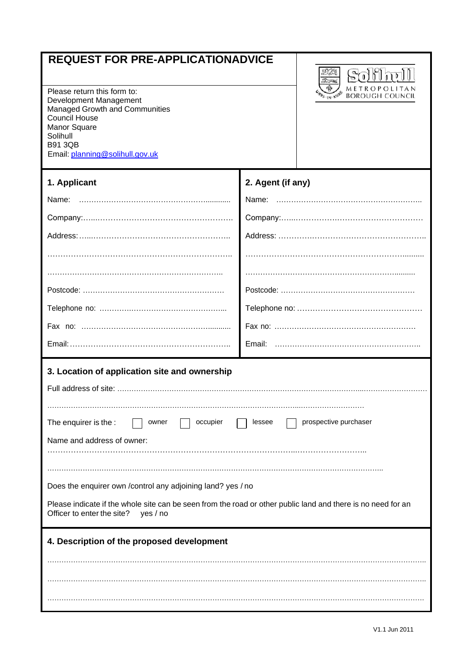## **REQUEST FOR PRE-APPLICATIONADVICE**

Please return this form to: Development Management Managed Growth and Communities Council House Manor Square Solihull B91 3QB Email: [planning@solihull.gov.uk](mailto:planning@solihull.gov.uk)



| 1. Applicant                                                                                                                                                                                                                                                                                                                                                                           | 2. Agent (if any) |  |  |
|----------------------------------------------------------------------------------------------------------------------------------------------------------------------------------------------------------------------------------------------------------------------------------------------------------------------------------------------------------------------------------------|-------------------|--|--|
| Name:                                                                                                                                                                                                                                                                                                                                                                                  |                   |  |  |
|                                                                                                                                                                                                                                                                                                                                                                                        |                   |  |  |
|                                                                                                                                                                                                                                                                                                                                                                                        |                   |  |  |
|                                                                                                                                                                                                                                                                                                                                                                                        |                   |  |  |
|                                                                                                                                                                                                                                                                                                                                                                                        |                   |  |  |
|                                                                                                                                                                                                                                                                                                                                                                                        |                   |  |  |
|                                                                                                                                                                                                                                                                                                                                                                                        |                   |  |  |
|                                                                                                                                                                                                                                                                                                                                                                                        |                   |  |  |
|                                                                                                                                                                                                                                                                                                                                                                                        |                   |  |  |
| 3. Location of application site and ownership<br>prospective purchaser<br>The enquirer is the :<br>occupier<br>owner<br>lessee<br>Name and address of owner:<br>Does the enquirer own / control any adjoining land? yes / no<br>Please indicate if the whole site can be seen from the road or other public land and there is no need for an<br>Officer to enter the site?<br>yes / no |                   |  |  |
| 4. Description of the proposed development                                                                                                                                                                                                                                                                                                                                             |                   |  |  |
|                                                                                                                                                                                                                                                                                                                                                                                        |                   |  |  |
|                                                                                                                                                                                                                                                                                                                                                                                        |                   |  |  |
|                                                                                                                                                                                                                                                                                                                                                                                        |                   |  |  |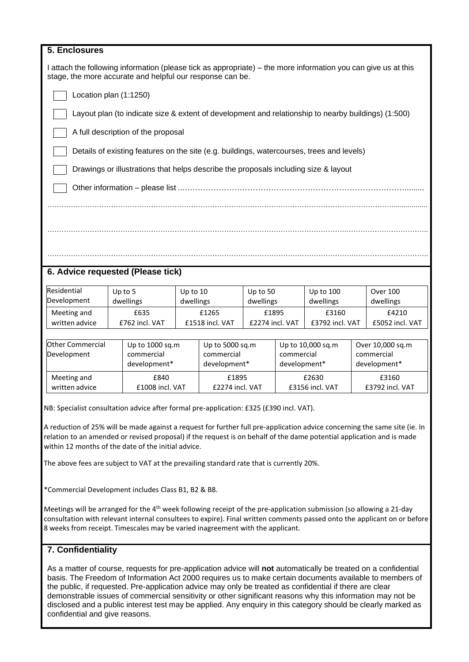| 5. Enclosures                 |                                                                                                                                                                                                                                                              |           |                          |                            |                 |                            |                 |                          |
|-------------------------------|--------------------------------------------------------------------------------------------------------------------------------------------------------------------------------------------------------------------------------------------------------------|-----------|--------------------------|----------------------------|-----------------|----------------------------|-----------------|--------------------------|
|                               | I attach the following information (please tick as appropriate) – the more information you can give us at this<br>stage, the more accurate and helpful our response can be.                                                                                  |           |                          |                            |                 |                            |                 |                          |
|                               | Location plan (1:1250)                                                                                                                                                                                                                                       |           |                          |                            |                 |                            |                 |                          |
|                               | Layout plan (to indicate size & extent of development and relationship to nearby buildings) (1:500)                                                                                                                                                          |           |                          |                            |                 |                            |                 |                          |
|                               | A full description of the proposal                                                                                                                                                                                                                           |           |                          |                            |                 |                            |                 |                          |
|                               | Details of existing features on the site (e.g. buildings, watercourses, trees and levels)                                                                                                                                                                    |           |                          |                            |                 |                            |                 |                          |
|                               | Drawings or illustrations that helps describe the proposals including size & layout                                                                                                                                                                          |           |                          |                            |                 |                            |                 |                          |
|                               |                                                                                                                                                                                                                                                              |           |                          |                            |                 |                            |                 |                          |
|                               |                                                                                                                                                                                                                                                              |           |                          |                            |                 |                            |                 |                          |
|                               |                                                                                                                                                                                                                                                              |           |                          |                            |                 |                            |                 |                          |
|                               |                                                                                                                                                                                                                                                              |           |                          |                            |                 |                            |                 |                          |
|                               |                                                                                                                                                                                                                                                              |           |                          |                            |                 |                            |                 |                          |
|                               | 6. Advice requested (Please tick)                                                                                                                                                                                                                            |           |                          |                            |                 |                            |                 |                          |
| Residential                   | Up to 5                                                                                                                                                                                                                                                      | Up to 10  |                          | Up to 50                   |                 | Up to 100                  |                 | <b>Over 100</b>          |
| Development                   | dwellings                                                                                                                                                                                                                                                    | dwellings |                          | dwellings                  |                 | dwellings<br>£3160         |                 | dwellings                |
| Meeting and<br>written advice | £635<br>£762 incl. VAT                                                                                                                                                                                                                                       |           | £1265<br>£1518 incl. VAT | £1895<br>£2274 incl. VAT   |                 | £3792 incl. VAT            |                 | £4210<br>£5052 incl. VAT |
|                               |                                                                                                                                                                                                                                                              |           |                          |                            |                 |                            |                 |                          |
| Other Commercial              | Up to 1000 sq.m                                                                                                                                                                                                                                              |           | Up to 5000 sq.m          |                            |                 | Up to 10,000 sq.m          |                 | Over 10,000 sq.m         |
|                               | commercial<br>commercial<br>Development<br>development*<br>development*                                                                                                                                                                                      |           |                          | commercial<br>development* |                 | commercial<br>development* |                 |                          |
| Meeting and                   | £840                                                                                                                                                                                                                                                         |           | £1895                    |                            | £2630           |                            | £3160           |                          |
| written advice                | £1008 incl. VAT                                                                                                                                                                                                                                              |           | £2274 incl. VAT          |                            | £3156 incl. VAT |                            | £3792 incl. VAT |                          |
|                               | NB: Specialist consultation advice after formal pre-application: £325 (£390 incl. VAT).                                                                                                                                                                      |           |                          |                            |                 |                            |                 |                          |
|                               |                                                                                                                                                                                                                                                              |           |                          |                            |                 |                            |                 |                          |
|                               | A reduction of 25% will be made against a request for further full pre-application advice concerning the same site (ie. In                                                                                                                                   |           |                          |                            |                 |                            |                 |                          |
|                               | relation to an amended or revised proposal) if the request is on behalf of the dame potential application and is made<br>within 12 months of the date of the initial advice.                                                                                 |           |                          |                            |                 |                            |                 |                          |
|                               | The above fees are subject to VAT at the prevailing standard rate that is currently 20%.                                                                                                                                                                     |           |                          |                            |                 |                            |                 |                          |
|                               | *Commercial Development includes Class B1, B2 & B8.                                                                                                                                                                                                          |           |                          |                            |                 |                            |                 |                          |
|                               | Meetings will be arranged for the 4 <sup>th</sup> week following receipt of the pre-application submission (so allowing a 21-day<br>consultation with relevant internal consultees to expire). Final written comments passed onto the applicant on or before |           |                          |                            |                 |                            |                 |                          |

## **7. Confidentiality**

As a matter of course, requests for pre-application advice will **not** automatically be treated on a confidential basis. The Freedom of Information Act 2000 requires us to make certain documents available to members of the public, if requested. Pre-application advice may only be treated as confidential if there are clear demonstrable issues of commercial sensitivity or other significant reasons why this information may not be disclosed and a public interest test may be applied. Any enquiry in this category should be clearly marked as confidential and give reasons.

8 weeks from receipt. Timescales may be varied inagreement with the applicant.